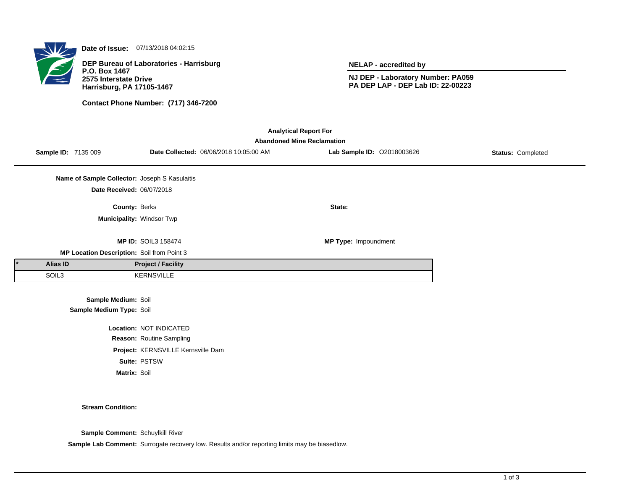

**Date of Issue:** 07/13/2018 04:02:15

**DEP Bureau of Laboratories - Harrisburg P.O. Box 1467 2575 Interstate Drive Harrisburg, PA 17105-1467**

**Contact Phone Number: (717) 346-7200**

**NELAP - accredited by**

**NJ DEP - Laboratory Number: PA059 PA DEP LAP - DEP Lab ID: 22-00223**

| <b>Analytical Report For</b><br><b>Abandoned Mine Reclamation</b> |                 |                                                 |                                    |                                        |                            |                   |  |  |  |
|-------------------------------------------------------------------|-----------------|-------------------------------------------------|------------------------------------|----------------------------------------|----------------------------|-------------------|--|--|--|
|                                                                   |                 | Sample ID: 7135 009                             |                                    | Date Collected: 06/06/2018 10:05:00 AM | Lab Sample ID: 02018003626 | Status: Completed |  |  |  |
|                                                                   |                 | Name of Sample Collector: Joseph S Kasulaitis   |                                    |                                        |                            |                   |  |  |  |
|                                                                   |                 | Date Received: 06/07/2018                       |                                    |                                        |                            |                   |  |  |  |
|                                                                   |                 | County: Berks                                   |                                    |                                        | State:                     |                   |  |  |  |
|                                                                   |                 | Municipality: Windsor Twp                       |                                    |                                        |                            |                   |  |  |  |
|                                                                   |                 |                                                 | <b>MP ID: SOIL3 158474</b>         |                                        | MP Type: Impoundment       |                   |  |  |  |
|                                                                   |                 | MP Location Description: Soil from Point 3      |                                    |                                        |                            |                   |  |  |  |
|                                                                   | <b>Alias ID</b> |                                                 | <b>Project / Facility</b>          |                                        |                            |                   |  |  |  |
|                                                                   | SOIL3           |                                                 | KERNSVILLE                         |                                        |                            |                   |  |  |  |
|                                                                   |                 | Sample Medium: Soil<br>Sample Medium Type: Soil |                                    |                                        |                            |                   |  |  |  |
|                                                                   |                 |                                                 | Location: NOT INDICATED            |                                        |                            |                   |  |  |  |
|                                                                   |                 |                                                 | Reason: Routine Sampling           |                                        |                            |                   |  |  |  |
|                                                                   |                 |                                                 | Project: KERNSVILLE Kernsville Dam |                                        |                            |                   |  |  |  |
|                                                                   |                 |                                                 | Suite: PSTSW                       |                                        |                            |                   |  |  |  |
|                                                                   |                 | Matrix: Soil                                    |                                    |                                        |                            |                   |  |  |  |

## **Stream Condition:**

**Sample Comment:** Schuylkill River

**Sample Lab Comment:** Surrogate recovery low. Results and/or reporting limits may be biasedlow.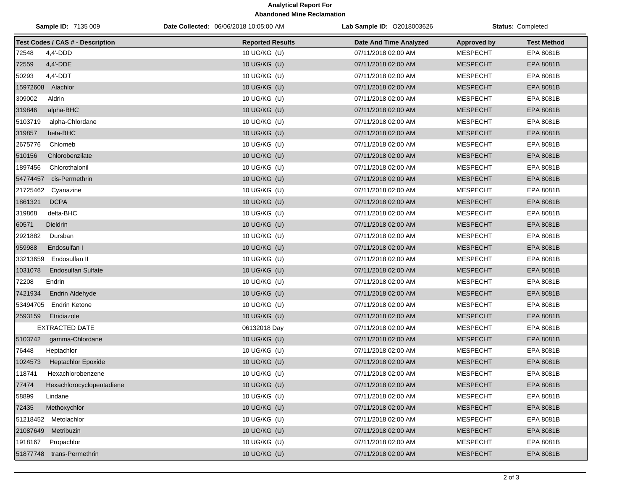## **Analytical Report For Abandoned Mine Reclamation**

| Sample ID: 7135 009                     | Date Collected: 06/06/2018 10:05:00 AM | <b>Lab Sample ID: 02018003626</b> | <b>Status: Completed</b> |                    |
|-----------------------------------------|----------------------------------------|-----------------------------------|--------------------------|--------------------|
| <b>Test Codes / CAS # - Description</b> | <b>Reported Results</b>                | Date And Time Analyzed            | <b>Approved by</b>       | <b>Test Method</b> |
| 72548<br>$4,4'$ -DDD                    | 10 UG/KG (U)                           | 07/11/2018 02:00 AM               | <b>MESPECHT</b>          | EPA 8081B          |
| 72559<br>4,4'-DDE                       | 10 UG/KG (U)                           | 07/11/2018 02:00 AM               | <b>MESPECHT</b>          | EPA 8081B          |
| 50293<br>$4,4'$ -DDT                    | 10 UG/KG (U)                           | 07/11/2018 02:00 AM               | <b>MESPECHT</b>          | <b>EPA 8081B</b>   |
| 15972608 Alachlor                       | 10 UG/KG (U)                           | 07/11/2018 02:00 AM               | <b>MESPECHT</b>          | EPA 8081B          |
| 309002<br>Aldrin                        | 10 UG/KG (U)                           | 07/11/2018 02:00 AM               | <b>MESPECHT</b>          | EPA 8081B          |
| 319846<br>alpha-BHC                     | 10 UG/KG (U)                           | 07/11/2018 02:00 AM               | <b>MESPECHT</b>          | EPA 8081B          |
| 5103719<br>alpha-Chlordane              | 10 UG/KG (U)                           | 07/11/2018 02:00 AM               | <b>MESPECHT</b>          | EPA 8081B          |
| 319857<br>beta-BHC                      | 10 UG/KG (U)                           | 07/11/2018 02:00 AM               | <b>MESPECHT</b>          | EPA 8081B          |
| 2675776<br>Chlorneb                     | 10 UG/KG (U)                           | 07/11/2018 02:00 AM               | <b>MESPECHT</b>          | EPA 8081B          |
| 510156<br>Chlorobenzilate               | 10 UG/KG (U)                           | 07/11/2018 02:00 AM               | <b>MESPECHT</b>          | EPA 8081B          |
| 1897456<br>Chlorothalonil               | 10 UG/KG (U)                           | 07/11/2018 02:00 AM               | <b>MESPECHT</b>          | EPA 8081B          |
| cis-Permethrin<br>54774457              | 10 UG/KG (U)                           | 07/11/2018 02:00 AM               | <b>MESPECHT</b>          | EPA 8081B          |
| 21725462<br>Cyanazine                   | 10 UG/KG (U)                           | 07/11/2018 02:00 AM               | <b>MESPECHT</b>          | EPA 8081B          |
| 1861321<br><b>DCPA</b>                  | 10 UG/KG (U)                           | 07/11/2018 02:00 AM               | <b>MESPECHT</b>          | EPA 8081B          |
| 319868<br>delta-BHC                     | 10 UG/KG (U)                           | 07/11/2018 02:00 AM               | <b>MESPECHT</b>          | EPA 8081B          |
| 60571<br><b>Dieldrin</b>                | 10 UG/KG (U)                           | 07/11/2018 02:00 AM               | <b>MESPECHT</b>          | EPA 8081B          |
| 2921882<br>Dursban                      | 10 UG/KG (U)                           | 07/11/2018 02:00 AM               | <b>MESPECHT</b>          | <b>EPA 8081B</b>   |
| 959988<br>Endosulfan I                  | 10 UG/KG (U)                           | 07/11/2018 02:00 AM               | <b>MESPECHT</b>          | EPA 8081B          |
| 33213659<br>Endosulfan II               | 10 UG/KG (U)                           | 07/11/2018 02:00 AM               | <b>MESPECHT</b>          | EPA 8081B          |
| 1031078<br><b>Endosulfan Sulfate</b>    | 10 UG/KG (U)                           | 07/11/2018 02:00 AM               | <b>MESPECHT</b>          | EPA 8081B          |
| 72208<br>Endrin                         | 10 UG/KG (U)                           | 07/11/2018 02:00 AM               | <b>MESPECHT</b>          | EPA 8081B          |
| 7421934<br>Endrin Aldehyde              | 10 UG/KG (U)                           | 07/11/2018 02:00 AM               | <b>MESPECHT</b>          | EPA 8081B          |
| 53494705<br><b>Endrin Ketone</b>        | 10 UG/KG (U)                           | 07/11/2018 02:00 AM               | <b>MESPECHT</b>          | EPA 8081B          |
| 2593159<br>Etridiazole                  | 10 UG/KG (U)                           | 07/11/2018 02:00 AM               | <b>MESPECHT</b>          | EPA 8081B          |
| <b>EXTRACTED DATE</b>                   | 06132018 Day                           | 07/11/2018 02:00 AM               | <b>MESPECHT</b>          | EPA 8081B          |
| 5103742<br>gamma-Chlordane              | 10 UG/KG (U)                           | 07/11/2018 02:00 AM               | <b>MESPECHT</b>          | EPA 8081B          |
| 76448<br>Heptachlor                     | 10 UG/KG (U)                           | 07/11/2018 02:00 AM               | <b>MESPECHT</b>          | EPA 8081B          |
| 1024573<br><b>Heptachlor Epoxide</b>    | 10 UG/KG (U)                           | 07/11/2018 02:00 AM               | <b>MESPECHT</b>          | EPA 8081B          |
| 118741<br>Hexachlorobenzene             | 10 UG/KG (U)                           | 07/11/2018 02:00 AM               | <b>MESPECHT</b>          | EPA 8081B          |
| 77474<br>Hexachlorocyclopentadiene      | 10 UG/KG (U)                           | 07/11/2018 02:00 AM               | <b>MESPECHT</b>          | EPA 8081B          |
| 58899<br>Lindane                        | 10 UG/KG (U)                           | 07/11/2018 02:00 AM               | MESPECHT                 | EPA 8081B          |
| Methoxychlor<br>72435                   | 10 UG/KG (U)                           | 07/11/2018 02:00 AM               | <b>MESPECHT</b>          | EPA 8081B          |
| 51218452 Metolachlor                    | 10 UG/KG (U)                           | 07/11/2018 02:00 AM               | MESPECHT                 | EPA 8081B          |
| 21087649<br>Metribuzin                  | 10 UG/KG (U)                           | 07/11/2018 02:00 AM               | <b>MESPECHT</b>          | EPA 8081B          |
| 1918167<br>Propachlor                   | 10 UG/KG (U)                           | 07/11/2018 02:00 AM               | MESPECHT                 | EPA 8081B          |
| 51877748 trans-Permethrin               | 10 UG/KG (U)                           | 07/11/2018 02:00 AM               | <b>MESPECHT</b>          | EPA 8081B          |